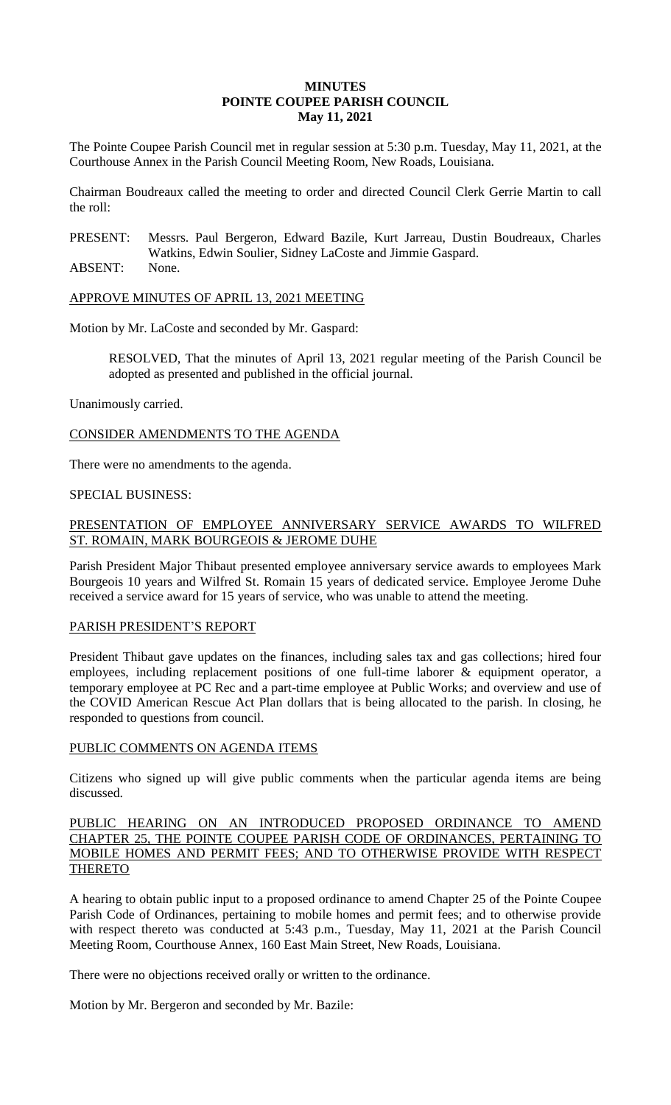## **MINUTES POINTE COUPEE PARISH COUNCIL May 11, 2021**

The Pointe Coupee Parish Council met in regular session at 5:30 p.m. Tuesday, May 11, 2021, at the Courthouse Annex in the Parish Council Meeting Room, New Roads, Louisiana.

Chairman Boudreaux called the meeting to order and directed Council Clerk Gerrie Martin to call the roll:

PRESENT: Messrs. Paul Bergeron, Edward Bazile, Kurt Jarreau, Dustin Boudreaux, Charles Watkins, Edwin Soulier, Sidney LaCoste and Jimmie Gaspard.

ABSENT: None.

APPROVE MINUTES OF APRIL 13, 2021 MEETING

Motion by Mr. LaCoste and seconded by Mr. Gaspard:

RESOLVED, That the minutes of April 13, 2021 regular meeting of the Parish Council be adopted as presented and published in the official journal.

Unanimously carried.

CONSIDER AMENDMENTS TO THE AGENDA

There were no amendments to the agenda.

### SPECIAL BUSINESS:

## PRESENTATION OF EMPLOYEE ANNIVERSARY SERVICE AWARDS TO WILFRED ST. ROMAIN, MARK BOURGEOIS & JEROME DUHE

Parish President Major Thibaut presented employee anniversary service awards to employees Mark Bourgeois 10 years and Wilfred St. Romain 15 years of dedicated service. Employee Jerome Duhe received a service award for 15 years of service, who was unable to attend the meeting.

#### PARISH PRESIDENT'S REPORT

President Thibaut gave updates on the finances, including sales tax and gas collections; hired four employees, including replacement positions of one full-time laborer & equipment operator, a temporary employee at PC Rec and a part-time employee at Public Works; and overview and use of the COVID American Rescue Act Plan dollars that is being allocated to the parish. In closing, he responded to questions from council.

## PUBLIC COMMENTS ON AGENDA ITEMS

Citizens who signed up will give public comments when the particular agenda items are being discussed.

## PUBLIC HEARING ON AN INTRODUCED PROPOSED ORDINANCE TO AMEND CHAPTER 25, THE POINTE COUPEE PARISH CODE OF ORDINANCES, PERTAINING TO MOBILE HOMES AND PERMIT FEES; AND TO OTHERWISE PROVIDE WITH RESPECT THERETO

A hearing to obtain public input to a proposed ordinance to amend Chapter 25 of the Pointe Coupee Parish Code of Ordinances, pertaining to mobile homes and permit fees; and to otherwise provide with respect thereto was conducted at 5:43 p.m., Tuesday, May 11, 2021 at the Parish Council Meeting Room, Courthouse Annex, 160 East Main Street, New Roads, Louisiana.

There were no objections received orally or written to the ordinance.

Motion by Mr. Bergeron and seconded by Mr. Bazile: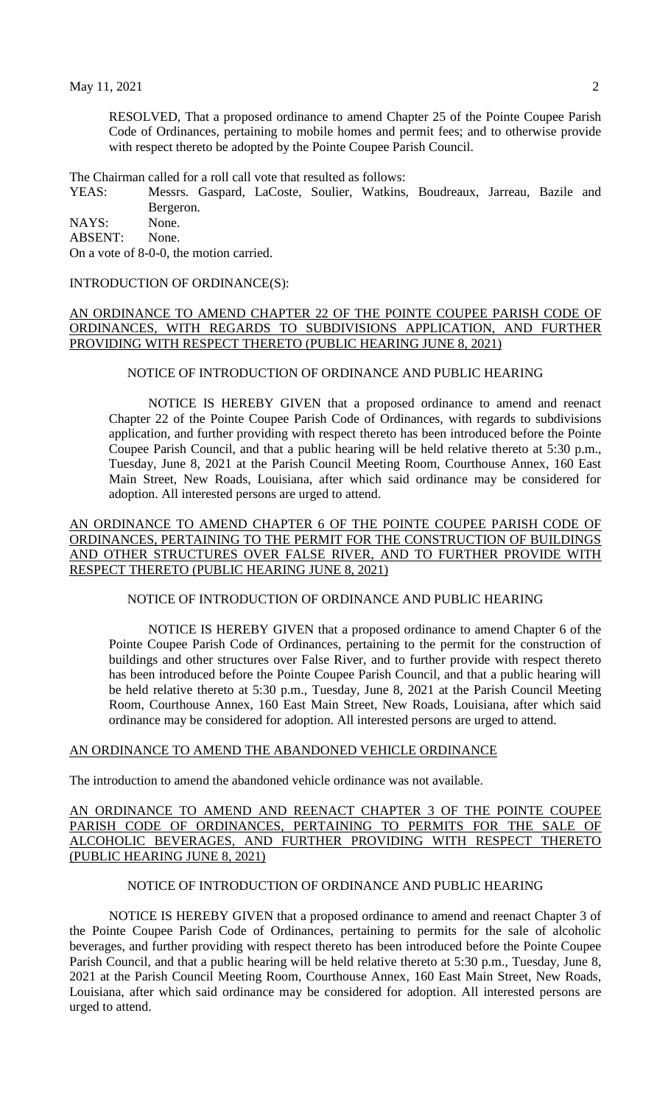RESOLVED, That a proposed ordinance to amend Chapter 25 of the Pointe Coupee Parish Code of Ordinances, pertaining to mobile homes and permit fees; and to otherwise provide with respect thereto be adopted by the Pointe Coupee Parish Council.

The Chairman called for a roll call vote that resulted as follows:

YEAS: Messrs. Gaspard, LaCoste, Soulier, Watkins, Boudreaux, Jarreau, Bazile and Bergeron.

NAYS: None.

ABSENT: None.

On a vote of 8-0-0, the motion carried.

#### INTRODUCTION OF ORDINANCE(S):

## AN ORDINANCE TO AMEND CHAPTER 22 OF THE POINTE COUPEE PARISH CODE OF ORDINANCES, WITH REGARDS TO SUBDIVISIONS APPLICATION, AND FURTHER PROVIDING WITH RESPECT THERETO (PUBLIC HEARING JUNE 8, 2021)

## NOTICE OF INTRODUCTION OF ORDINANCE AND PUBLIC HEARING

NOTICE IS HEREBY GIVEN that a proposed ordinance to amend and reenact Chapter 22 of the Pointe Coupee Parish Code of Ordinances, with regards to subdivisions application, and further providing with respect thereto has been introduced before the Pointe Coupee Parish Council, and that a public hearing will be held relative thereto at 5:30 p.m., Tuesday, June 8, 2021 at the Parish Council Meeting Room, Courthouse Annex, 160 East Main Street, New Roads, Louisiana, after which said ordinance may be considered for adoption. All interested persons are urged to attend.

AN ORDINANCE TO AMEND CHAPTER 6 OF THE POINTE COUPEE PARISH CODE OF ORDINANCES, PERTAINING TO THE PERMIT FOR THE CONSTRUCTION OF BUILDINGS AND OTHER STRUCTURES OVER FALSE RIVER, AND TO FURTHER PROVIDE WITH RESPECT THERETO (PUBLIC HEARING JUNE 8, 2021)

# NOTICE OF INTRODUCTION OF ORDINANCE AND PUBLIC HEARING

NOTICE IS HEREBY GIVEN that a proposed ordinance to amend Chapter 6 of the Pointe Coupee Parish Code of Ordinances, pertaining to the permit for the construction of buildings and other structures over False River, and to further provide with respect thereto has been introduced before the Pointe Coupee Parish Council, and that a public hearing will be held relative thereto at 5:30 p.m., Tuesday, June 8, 2021 at the Parish Council Meeting Room, Courthouse Annex, 160 East Main Street, New Roads, Louisiana, after which said ordinance may be considered for adoption. All interested persons are urged to attend.

#### AN ORDINANCE TO AMEND THE ABANDONED VEHICLE ORDINANCE

The introduction to amend the abandoned vehicle ordinance was not available.

### AN ORDINANCE TO AMEND AND REENACT CHAPTER 3 OF THE POINTE COUPEE PARISH CODE OF ORDINANCES, PERTAINING TO PERMITS FOR THE SALE OF ALCOHOLIC BEVERAGES, AND FURTHER PROVIDING WITH RESPECT THERETO (PUBLIC HEARING JUNE 8, 2021)

# NOTICE OF INTRODUCTION OF ORDINANCE AND PUBLIC HEARING

NOTICE IS HEREBY GIVEN that a proposed ordinance to amend and reenact Chapter 3 of the Pointe Coupee Parish Code of Ordinances, pertaining to permits for the sale of alcoholic beverages, and further providing with respect thereto has been introduced before the Pointe Coupee Parish Council, and that a public hearing will be held relative thereto at 5:30 p.m., Tuesday, June 8, 2021 at the Parish Council Meeting Room, Courthouse Annex, 160 East Main Street, New Roads, Louisiana, after which said ordinance may be considered for adoption. All interested persons are urged to attend.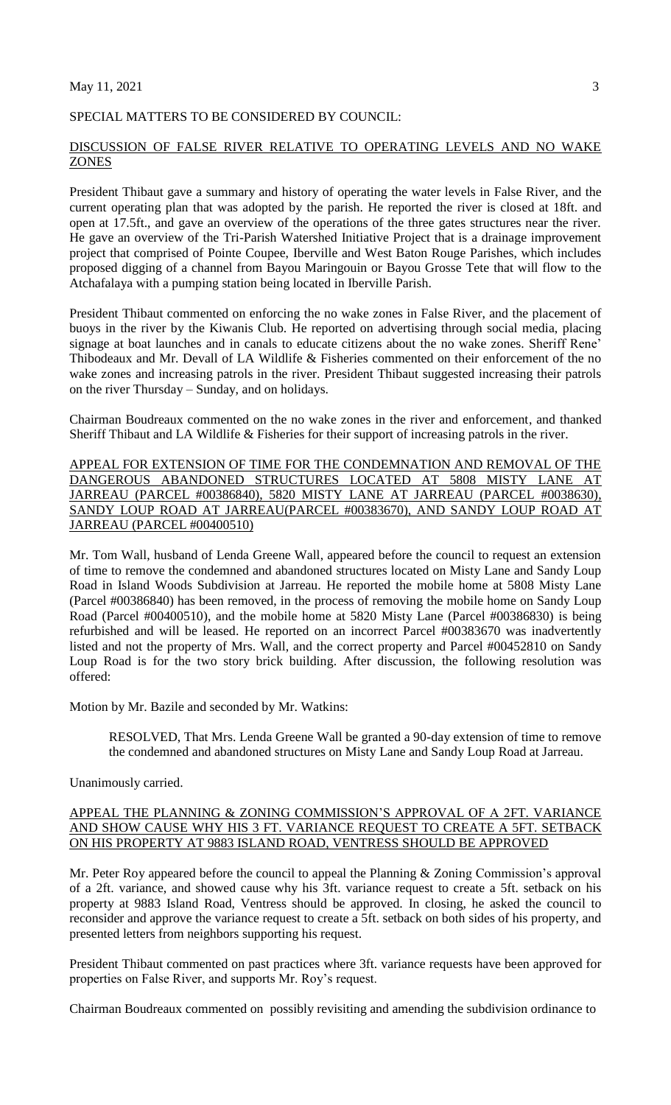#### $\text{May } 11, 2021$  3

#### SPECIAL MATTERS TO BE CONSIDERED BY COUNCIL:

#### DISCUSSION OF FALSE RIVER RELATIVE TO OPERATING LEVELS AND NO WAKE **ZONES**

President Thibaut gave a summary and history of operating the water levels in False River, and the current operating plan that was adopted by the parish. He reported the river is closed at 18ft. and open at 17.5ft., and gave an overview of the operations of the three gates structures near the river. He gave an overview of the Tri-Parish Watershed Initiative Project that is a drainage improvement project that comprised of Pointe Coupee, Iberville and West Baton Rouge Parishes, which includes proposed digging of a channel from Bayou Maringouin or Bayou Grosse Tete that will flow to the Atchafalaya with a pumping station being located in Iberville Parish.

President Thibaut commented on enforcing the no wake zones in False River, and the placement of buoys in the river by the Kiwanis Club. He reported on advertising through social media, placing signage at boat launches and in canals to educate citizens about the no wake zones. Sheriff Rene' Thibodeaux and Mr. Devall of LA Wildlife & Fisheries commented on their enforcement of the no wake zones and increasing patrols in the river. President Thibaut suggested increasing their patrols on the river Thursday – Sunday, and on holidays.

Chairman Boudreaux commented on the no wake zones in the river and enforcement, and thanked Sheriff Thibaut and LA Wildlife & Fisheries for their support of increasing patrols in the river.

APPEAL FOR EXTENSION OF TIME FOR THE CONDEMNATION AND REMOVAL OF THE DANGEROUS ABANDONED STRUCTURES LOCATED AT 5808 MISTY LANE AT JARREAU (PARCEL #00386840), 5820 MISTY LANE AT JARREAU (PARCEL #0038630), SANDY LOUP ROAD AT JARREAU(PARCEL #00383670), AND SANDY LOUP ROAD AT JARREAU (PARCEL #00400510)

Mr. Tom Wall, husband of Lenda Greene Wall, appeared before the council to request an extension of time to remove the condemned and abandoned structures located on Misty Lane and Sandy Loup Road in Island Woods Subdivision at Jarreau. He reported the mobile home at 5808 Misty Lane (Parcel #00386840) has been removed, in the process of removing the mobile home on Sandy Loup Road (Parcel #00400510), and the mobile home at 5820 Misty Lane (Parcel #00386830) is being refurbished and will be leased. He reported on an incorrect Parcel #00383670 was inadvertently listed and not the property of Mrs. Wall, and the correct property and Parcel #00452810 on Sandy Loup Road is for the two story brick building. After discussion, the following resolution was offered:

Motion by Mr. Bazile and seconded by Mr. Watkins:

RESOLVED, That Mrs. Lenda Greene Wall be granted a 90-day extension of time to remove the condemned and abandoned structures on Misty Lane and Sandy Loup Road at Jarreau.

Unanimously carried.

## APPEAL THE PLANNING & ZONING COMMISSION'S APPROVAL OF A 2FT. VARIANCE AND SHOW CAUSE WHY HIS 3 FT. VARIANCE REQUEST TO CREATE A 5FT. SETBACK ON HIS PROPERTY AT 9883 ISLAND ROAD, VENTRESS SHOULD BE APPROVED

Mr. Peter Roy appeared before the council to appeal the Planning & Zoning Commission's approval of a 2ft. variance, and showed cause why his 3ft. variance request to create a 5ft. setback on his property at 9883 Island Road, Ventress should be approved. In closing, he asked the council to reconsider and approve the variance request to create a 5ft. setback on both sides of his property, and presented letters from neighbors supporting his request.

President Thibaut commented on past practices where 3ft. variance requests have been approved for properties on False River, and supports Mr. Roy's request.

Chairman Boudreaux commented on possibly revisiting and amending the subdivision ordinance to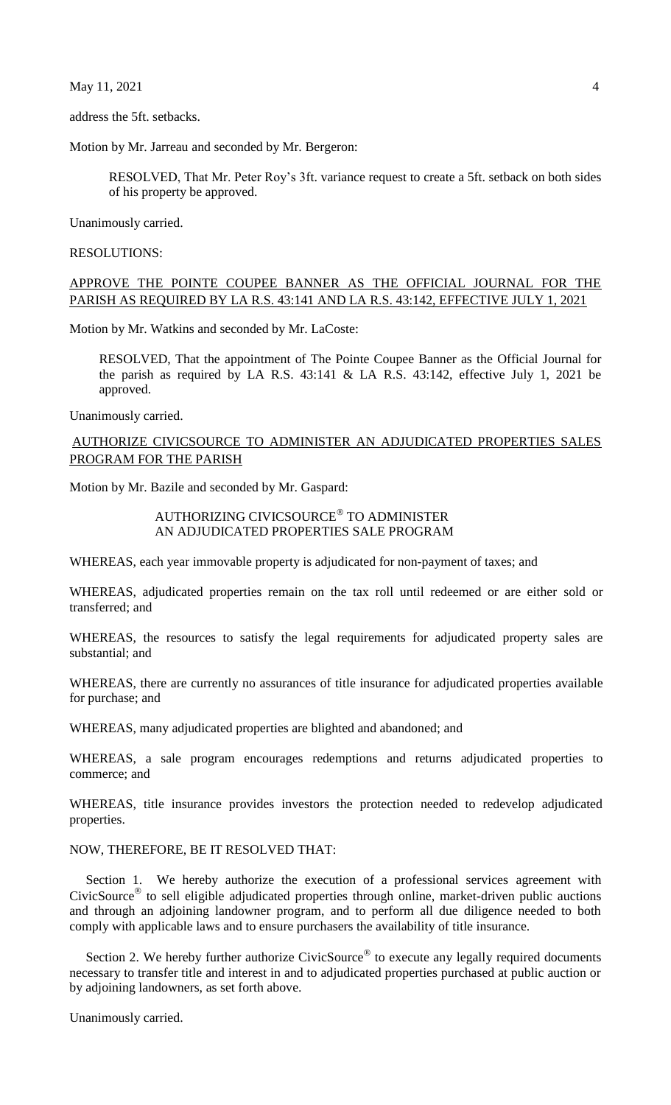$\text{May } 11, 2021$  4

address the 5ft. setbacks.

Motion by Mr. Jarreau and seconded by Mr. Bergeron:

RESOLVED, That Mr. Peter Roy's 3ft. variance request to create a 5ft. setback on both sides of his property be approved.

Unanimously carried.

RESOLUTIONS:

## APPROVE THE POINTE COUPEE BANNER AS THE OFFICIAL JOURNAL FOR THE PARISH AS REQUIRED BY LA R.S. 43:141 AND LA R.S. 43:142, EFFECTIVE JULY 1, 2021

Motion by Mr. Watkins and seconded by Mr. LaCoste:

RESOLVED, That the appointment of The Pointe Coupee Banner as the Official Journal for the parish as required by LA R.S. 43:141 & LA R.S. 43:142, effective July 1, 2021 be approved.

Unanimously carried.

# AUTHORIZE CIVICSOURCE TO ADMINISTER AN ADJUDICATED PROPERTIES SALES PROGRAM FOR THE PARISH

Motion by Mr. Bazile and seconded by Mr. Gaspard:

## AUTHORIZING CIVICSOURCE TO ADMINISTER AN ADJUDICATED PROPERTIES SALE PROGRAM

WHEREAS, each year immovable property is adjudicated for non-payment of taxes; and

WHEREAS, adjudicated properties remain on the tax roll until redeemed or are either sold or transferred; and

WHEREAS, the resources to satisfy the legal requirements for adjudicated property sales are substantial; and

WHEREAS, there are currently no assurances of title insurance for adjudicated properties available for purchase; and

WHEREAS, many adjudicated properties are blighted and abandoned; and

WHEREAS, a sale program encourages redemptions and returns adjudicated properties to commerce; and

WHEREAS, title insurance provides investors the protection needed to redevelop adjudicated properties.

# NOW, THEREFORE, BE IT RESOLVED THAT:

Section 1. We hereby authorize the execution of a professional services agreement with CivicSource<sup>®</sup> to sell eligible adjudicated properties through online, market-driven public auctions and through an adjoining landowner program, and to perform all due diligence needed to both comply with applicable laws and to ensure purchasers the availability of title insurance.

Section 2. We hereby further authorize CivicSource<sup>®</sup> to execute any legally required documents necessary to transfer title and interest in and to adjudicated properties purchased at public auction or by adjoining landowners, as set forth above.

Unanimously carried.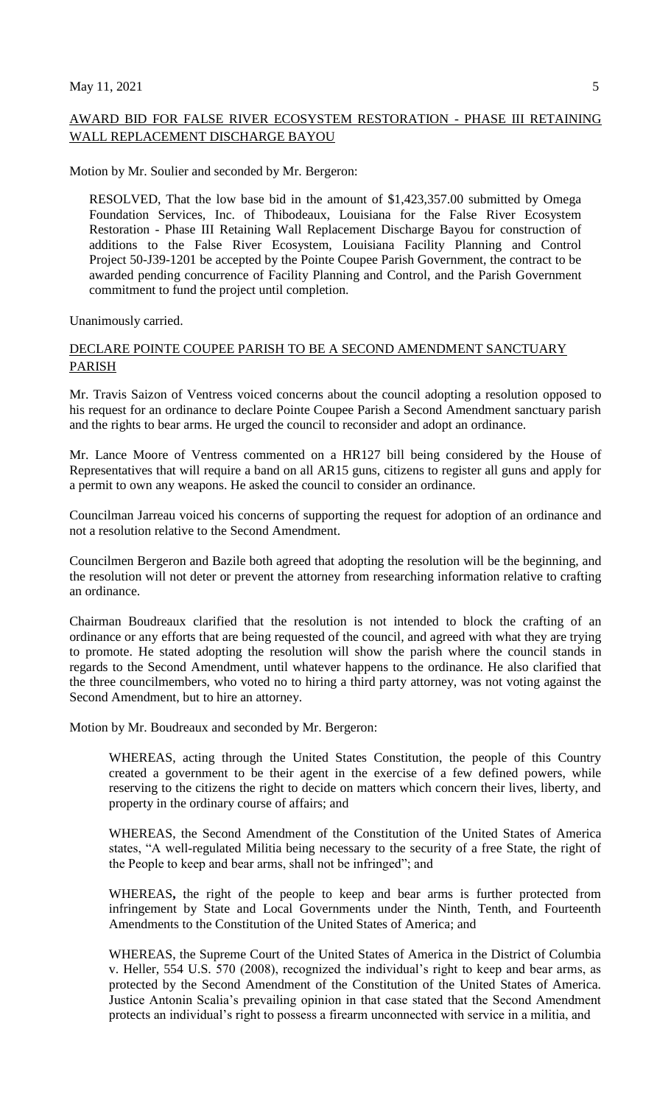# AWARD BID FOR FALSE RIVER ECOSYSTEM RESTORATION - PHASE III RETAINING WALL REPLACEMENT DISCHARGE BAYOU

Motion by Mr. Soulier and seconded by Mr. Bergeron:

RESOLVED, That the low base bid in the amount of \$1,423,357.00 submitted by Omega Foundation Services, Inc. of Thibodeaux, Louisiana for the False River Ecosystem Restoration - Phase III Retaining Wall Replacement Discharge Bayou for construction of additions to the False River Ecosystem, Louisiana Facility Planning and Control Project 50-J39-1201 be accepted by the Pointe Coupee Parish Government, the contract to be awarded pending concurrence of Facility Planning and Control, and the Parish Government commitment to fund the project until completion.

Unanimously carried.

## DECLARE POINTE COUPEE PARISH TO BE A SECOND AMENDMENT SANCTUARY PARISH

Mr. Travis Saizon of Ventress voiced concerns about the council adopting a resolution opposed to his request for an ordinance to declare Pointe Coupee Parish a Second Amendment sanctuary parish and the rights to bear arms. He urged the council to reconsider and adopt an ordinance.

Mr. Lance Moore of Ventress commented on a HR127 bill being considered by the House of Representatives that will require a band on all AR15 guns, citizens to register all guns and apply for a permit to own any weapons. He asked the council to consider an ordinance.

Councilman Jarreau voiced his concerns of supporting the request for adoption of an ordinance and not a resolution relative to the Second Amendment.

Councilmen Bergeron and Bazile both agreed that adopting the resolution will be the beginning, and the resolution will not deter or prevent the attorney from researching information relative to crafting an ordinance.

Chairman Boudreaux clarified that the resolution is not intended to block the crafting of an ordinance or any efforts that are being requested of the council, and agreed with what they are trying to promote. He stated adopting the resolution will show the parish where the council stands in regards to the Second Amendment, until whatever happens to the ordinance. He also clarified that the three councilmembers, who voted no to hiring a third party attorney, was not voting against the Second Amendment, but to hire an attorney.

Motion by Mr. Boudreaux and seconded by Mr. Bergeron:

WHEREAS, acting through the United States Constitution, the people of this Country created a government to be their agent in the exercise of a few defined powers, while reserving to the citizens the right to decide on matters which concern their lives, liberty, and property in the ordinary course of affairs; and

WHEREAS, the Second Amendment of the Constitution of the United States of America states, "A well-regulated Militia being necessary to the security of a free State, the right of the People to keep and bear arms, shall not be infringed"; and

WHEREAS**,** the right of the people to keep and bear arms is further protected from infringement by State and Local Governments under the Ninth, Tenth, and Fourteenth Amendments to the Constitution of the United States of America; and

WHEREAS, the Supreme Court of the United States of America in the District of Columbia v. Heller, 554 U.S. 570 (2008), recognized the individual's right to keep and bear arms, as protected by the Second Amendment of the Constitution of the United States of America. Justice Antonin Scalia's prevailing opinion in that case stated that the Second Amendment protects an individual's right to possess a firearm unconnected with service in a militia, and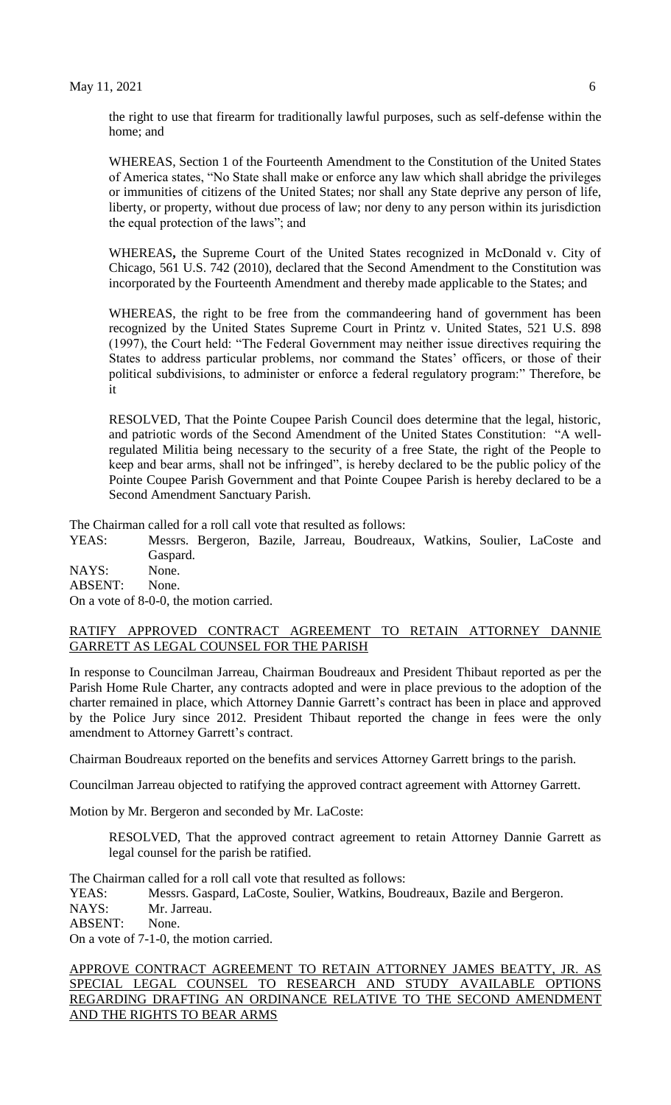the right to use that firearm for traditionally lawful purposes, such as self-defense within the home; and

WHEREAS, Section 1 of the Fourteenth Amendment to the Constitution of the United States of America states, "No State shall make or enforce any law which shall abridge the privileges or immunities of citizens of the United States; nor shall any State deprive any person of life, liberty, or property, without due process of law; nor deny to any person within its jurisdiction the equal protection of the laws"; and

WHEREAS**,** the Supreme Court of the United States recognized in McDonald v. City of Chicago, 561 U.S. 742 (2010), declared that the Second Amendment to the Constitution was incorporated by the Fourteenth Amendment and thereby made applicable to the States; and

WHEREAS, the right to be free from the commandeering hand of government has been recognized by the United States Supreme Court in Printz v. United States, 521 U.S. 898 (1997), the Court held: "The Federal Government may neither issue directives requiring the States to address particular problems, nor command the States' officers, or those of their political subdivisions, to administer or enforce a federal regulatory program:" Therefore, be it

RESOLVED, That the Pointe Coupee Parish Council does determine that the legal, historic, and patriotic words of the Second Amendment of the United States Constitution: "A wellregulated Militia being necessary to the security of a free State, the right of the People to keep and bear arms, shall not be infringed", is hereby declared to be the public policy of the Pointe Coupee Parish Government and that Pointe Coupee Parish is hereby declared to be a Second Amendment Sanctuary Parish.

The Chairman called for a roll call vote that resulted as follows:

YEAS: Messrs. Bergeron, Bazile, Jarreau, Boudreaux, Watkins, Soulier, LaCoste and Gaspard.

NAYS: None. ABSENT: None. On a vote of 8-0-0, the motion carried.

### RATIFY APPROVED CONTRACT AGREEMENT TO RETAIN ATTORNEY DANNIE GARRETT AS LEGAL COUNSEL FOR THE PARISH

In response to Councilman Jarreau, Chairman Boudreaux and President Thibaut reported as per the Parish Home Rule Charter, any contracts adopted and were in place previous to the adoption of the charter remained in place, which Attorney Dannie Garrett's contract has been in place and approved by the Police Jury since 2012. President Thibaut reported the change in fees were the only amendment to Attorney Garrett's contract.

Chairman Boudreaux reported on the benefits and services Attorney Garrett brings to the parish.

Councilman Jarreau objected to ratifying the approved contract agreement with Attorney Garrett.

Motion by Mr. Bergeron and seconded by Mr. LaCoste:

RESOLVED, That the approved contract agreement to retain Attorney Dannie Garrett as legal counsel for the parish be ratified.

The Chairman called for a roll call vote that resulted as follows:

YEAS: Messrs. Gaspard, LaCoste, Soulier, Watkins, Boudreaux, Bazile and Bergeron.

NAYS: Mr. Jarreau.

ABSENT: None.

On a vote of 7-1-0, the motion carried.

APPROVE CONTRACT AGREEMENT TO RETAIN ATTORNEY JAMES BEATTY, JR. AS SPECIAL LEGAL COUNSEL TO RESEARCH AND STUDY AVAILABLE OPTIONS REGARDING DRAFTING AN ORDINANCE RELATIVE TO THE SECOND AMENDMENT AND THE RIGHTS TO BEAR ARMS